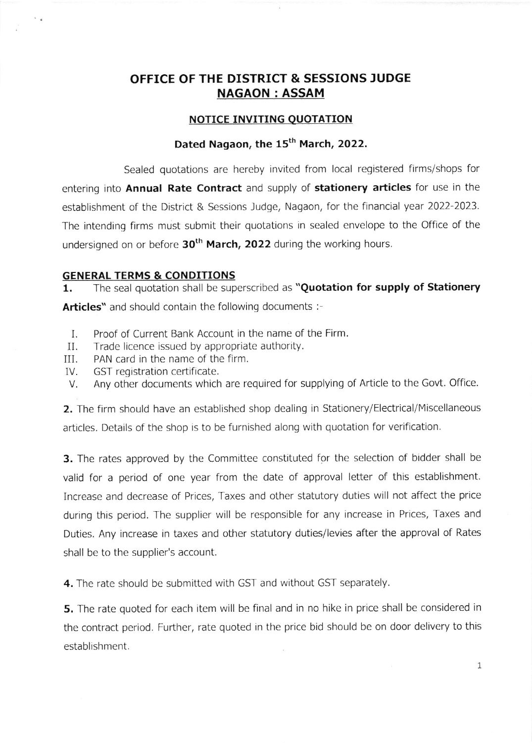## OFFICE OF THE DISTRICT & SESSIONS JUDGE NAGAON : ASSAM

#### **NOTICE INVITING QUOTATION**

## Dated Nagaon, the 15<sup>th</sup> March, 2022.

Sealed quotations are hereby invited from local registered firms/shops for entering into Annual Rate Contract and supply of stationery articles for use in the establishment of the District & Sessions Judge, Nagaon, for the financial year 2022-2023. The intending firms must submit their quotations in sealed envelope to the Office of the undersigned on or before  $30<sup>th</sup>$  March, 2022 during the working hours.

#### GENERAL TERMS & CONDITIONS

1. The seal quotation shall be superscribed as "Quotation for supply of Stationery Articles" and should contain the following documents :-

- I. Proof of Current Bank Account in the name of the Firm.
- $II$ . Trade licence issued by appropriate authority.
- II], PAN card in the name of the firm.
- IV, GST registration certificate.
- Any other documents which are required for supplying of Article to the Govt. Office V.

2. The firm should have an established shop dealing in Stationery/Electrical/Miscellaneous articles. Details of the shop is to be furnished along with quotation for verification.

**3.** The rates approved by the Committee constituted for the selection of bidder shall be valid for a period of one year from the date of approval letter of this establishment. Increase and decrease of Prices, Taxes and other statutory duties will not affect the price during this period. The supplier will be responsible for any increase in Prices, Taxes and Duties. Any increase in taxes and other statutory duties/levies after the approval of Rates shall be to the supplier's account.

4. The rate should be submitted with GST and without GST separately.

5. The rate quoted for each item will be final and in no hike in price shall be considered in the contract period. Further, rate quoted in the price bid should be on door delivery to this establishment.

1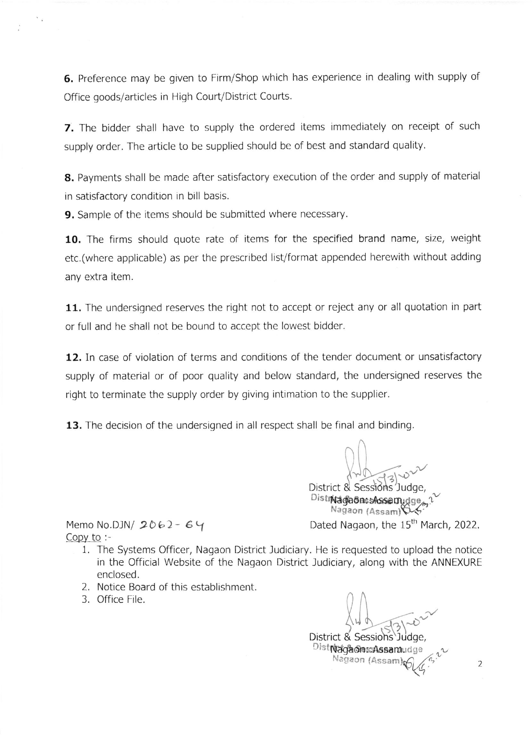6. Preference may be given to Firm/Shop which has experience in dealing with supply of Office goods/articles in High Court/District Coutts.

7. The bidder shall have to supply the ordered items immediately on receipt of such supply order. The article to be supplied should be of best and standard quality.

8. Payments shall be made after satisfactory execution of the order and supply of material in satisfactory condition in bill basis.

9. Sample of the items should be submitted where necessary.

10. The firms should quote rate of items for the specified brand name, size, weight etc.(where applicable) as per the prescribed list/format appended herewith without adding any extra item.

11. The undersigned reserves the right not to accept or reject any or all quotation in part or full and he shall not be bound to accept the lowest bidder.

12. In case of violation of terms and conditions of the tender document or unsatisfactory supply of material or of poor quality and below standard, the undersigned reserves the right to terminate the supply order by giving intimation to the supplier.

13. The decision of the undersigned in all respect shall be final and binding.

District & Sessions Judge. Distridades Assamudge, Nagaon (Assam)\\*4 Memo No.DJN/  $2062 - 64$  Dated Nagaon, the 15<sup>th</sup> March, 2022.

Copy to  $:$ 

- l. The Systems Officer, Nagaon District ludiciary. He is requested to upload the notice in the Official Website of the Nagaon District Judiciary, along with the ANNEXURE enclosed.
- 2. Notice Board of this establishment.
- 3. Office File.

District & Sessions Judge Distriada@esAssamudge - \*

Nagaon (Assam)

2